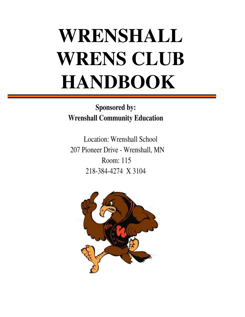# **WRENSHALL WRENS CLUB HANDBOOK**

Sponsored by: **Wrenshall Community Education** 

Location: Wrenshall School 207 Pioneer Drive - Wrenshall, MN Room: 115 218-384-4274 X 3104

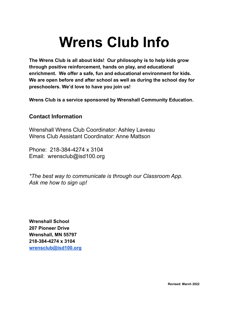# **Wrens Club Info**

**The Wrens Club is all about kids! Our philosophy is to help kids grow through positive reinforcement, hands on play, and educational enrichment. We offer a safe, fun and educational environment for kids. We are open before and after school as well as during the school day for preschoolers. We'd love to have you join us!**

**Wrens Club is a service sponsored by Wrenshall Community Education.**

### **Contact Information**

Wrenshall Wrens Club Coordinator: Ashley Laveau Wrens Club Assistant Coordinator: Anne Mattson

Phone: 218-384-4274 x 3104 Email: [wrensclub@isd100.org](mailto:wrensclub@isd100.org)

*\*The best way to communicate is through our Classroom App. Ask me how to sign up!*

**Wrenshall School 207 Pioneer Drive Wrenshall, MN 55797 218-384-4274 x 3104 [wrensclub@isd100.org](mailto:wrensclub@isd100.org)**

**Revised: March 2022**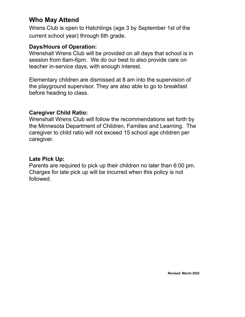### **Who May Attend**

Wrens Club is open to Hatchlings (age 3 by September 1st of the current school year) through 6th grade.

### **Days/Hours of Operation:**

Wrenshall Wrens Club will be provided on all days that school is in session from 6am-6pm. We do our best to also provide care on teacher in-service days, with enough interest.

Elementary children are dismissed at 8 am into the supervision of the playground supervisor. They are also able to go to breakfast before heading to class.

### **Caregiver Child Ratio:**

Wrenshall Wrens Club will follow the recommendations set forth by the Minnesota Department of Children, Families and Learning. The caregiver to child ratio will not exceed 15 school age children per caregiver.

### **Late Pick Up:**

Parents are required to pick up their children no later than 6:00 pm. Charges for late pick up will be incurred when this policy is not followed.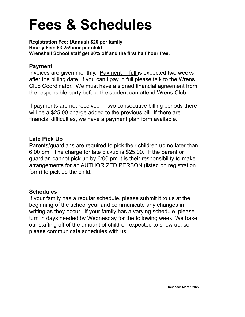# **Fees & Schedules**

**Registration Fee: (Annual) \$20 per family Hourly Fee: \$3.25/hour per child Wrenshall School staff get 20% off and the first half hour free.**

### **Payment**

Invoices are given monthly. Payment in full is expected two weeks after the billing date. If you can't pay in full please talk to the Wrens Club Coordinator. We must have a signed financial agreement from the responsible party before the student can attend Wrens Club.

If payments are not received in two consecutive billing periods there will be a \$25.00 charge added to the previous bill. If there are financial difficulties, we have a payment plan form available.

### **Late Pick Up**

Parents/guardians are required to pick their children up no later than 6:00 pm. The charge for late pickup is \$25.00. If the parent or guardian cannot pick up by 6:00 pm it is their responsibility to make arrangements for an AUTHORIZED PERSON (listed on registration form) to pick up the child.

### **Schedules**

If your family has a regular schedule, please submit it to us at the beginning of the school year and communicate any changes in writing as they occur. If your family has a varying schedule, please turn in days needed by Wednesday for the following week. We base our staffing off of the amount of children expected to show up, so please communicate schedules with us.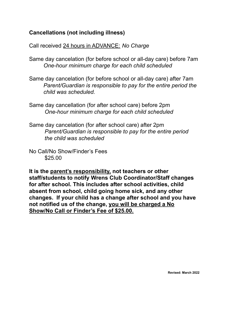### **Cancellations (not including illness)**

Call received 24 hours in ADVANCE: *No Charge*

- Same day cancelation (for before school or all-day care) before 7am *One-hour minimum charge for each child scheduled*
- Same day cancelation (for before school or all-day care) after 7am *Parent/Guardian is responsible to pay for the entire period the child was scheduled.*
- Same day cancellation (for after school care) before 2pm *One-hour minimum charge for each child scheduled*
- Same day cancelation (for after school care) after 2pm *Parent/Guardian is responsible to pay for the entire period the child was scheduled*
- No Call/No Show/Finder's Fees \$25.00

**It is the parent's responsibility, not teachers or other staff/students to notify Wrens Club Coordinator/Staff changes for after school. This includes after school activities, child absent from school, child going home sick, and any other changes. If your child has a change after school and you have not notified us of the change, you will be charged a No Show/No Call or Finder's Fee of \$25.00.**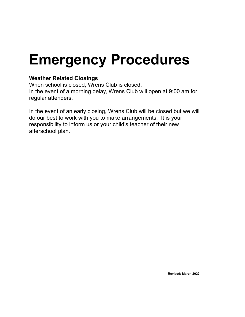## **Emergency Procedures**

### **Weather Related Closings**

When school is closed, Wrens Club is closed. In the event of a morning delay, Wrens Club will open at 9:00 am for regular attenders.

In the event of an early closing, Wrens Club will be closed but we will do our best to work with you to make arrangements. It is your responsibility to inform us or your child's teacher of their new afterschool plan.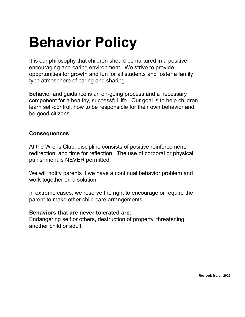# **Behavior Policy**

It is our philosophy that children should be nurtured in a positive, encouraging and caring environment. We strive to provide opportunities for growth and fun for all students and foster a family type atmosphere of caring and sharing.

Behavior and guidance is an on-going process and a necessary component for a healthy, successful life. Our goal is to help children learn self-control, how to be responsible for their own behavior and be good citizens.

### **Consequences**

At the Wrens Club, discipline consists of positive reinforcement, redirection, and time for reflection. The use of corporal or physical punishment is NEVER permitted.

We will notify parents if we have a continual behavior problem and work together on a solution.

In extreme cases, we reserve the right to encourage or require the parent to make other child care arrangements.

#### **Behaviors that are never tolerated are:**

Endangering self or others, destruction of property, threatening another child or adult.

**Revised: March 2022**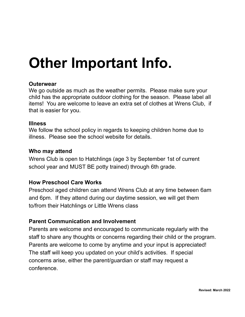# **Other Important Info.**

### **Outerwear**

We go outside as much as the weather permits. Please make sure your child has the appropriate outdoor clothing for the season. Please label all items! You are welcome to leave an extra set of clothes at Wrens Club, if that is easier for you.

### **Illness**

We follow the school policy in regards to keeping children home due to illness. Please see the school website for details.

### **Who may attend**

Wrens Club is open to Hatchlings (age 3 by September 1st of current school year and MUST BE potty trained) through 6th grade.

### **How Preschool Care Works**

Preschool aged children can attend Wrens Club at any time between 6am and 6pm. If they attend during our daytime session, we will get them to/from their Hatchlings or Little Wrens class

### **Parent Communication and Involvement**

Parents are welcome and encouraged to communicate regularly with the staff to share any thoughts or concerns regarding their child or the program. Parents are welcome to come by anytime and your input is appreciated! The staff will keep you updated on your child's activities. If special concerns arise, either the parent/guardian or staff may request a conference.